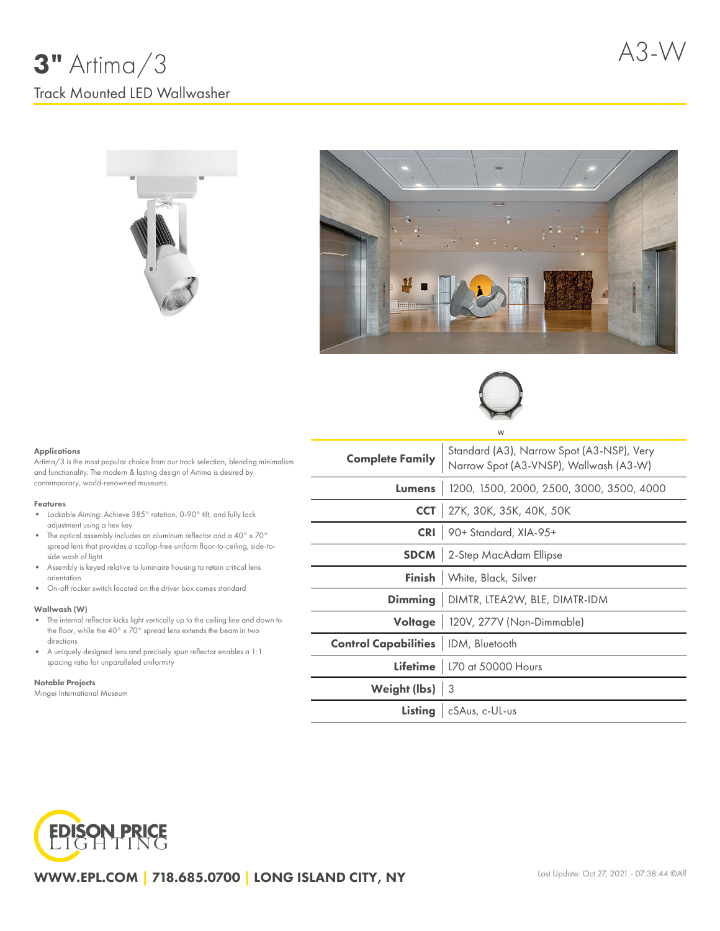





#### Applications

Artima/3 is the most popular choice from our track selection, blending minimalism and functionality. The modern & lasting design of Artima is desired by contemporary, world-renowned museums.

#### Features

- Lockable Aiming: Achieve 385° rotation, 0-90° tilt, and fully lock adjustment using a hex key
- $\bullet$  The optical assembly includes an aluminum reflector and a 40° x 70° spread lens that provides a scallop-free uniform floor-to-ceiling, side-toside wash of light
- Assembly is keyed relative to luminaire housing to retain critical lens orientation
- On-off rocker switch located on the driver box comes standard

#### Wallwash (W)

- The internal reflector kicks light vertically up to the ceiling line and down to  $\bullet$ the floor, while the 40° x 70° spread lens extends the beam in two directions
- A uniquely designed lens and precisely spun reflector enables a 1:1 spacing ratio for unparalleled uniformity

#### Notable Projects

Mingei International Museum

| <b>Complete Family</b>                       | Standard (A3), Narrow Spot (A3-NSP), Very<br>Narrow Spot (A3-VNSP), Wallwash (A3-W) |  |  |  |  |
|----------------------------------------------|-------------------------------------------------------------------------------------|--|--|--|--|
|                                              | Lumens   1200, 1500, 2000, 2500, 3000, 3500, 4000                                   |  |  |  |  |
|                                              | <b>CCT</b> 27K, 30K, 35K, 40K, 50K                                                  |  |  |  |  |
|                                              | CRI 90+ Standard, XIA-95+                                                           |  |  |  |  |
|                                              | <b>SDCM</b> 2-Step MacAdam Ellipse                                                  |  |  |  |  |
|                                              | Finish   White, Black, Silver                                                       |  |  |  |  |
|                                              | Dimming   DIMTR, LTEA2W, BLE, DIMTR-IDM                                             |  |  |  |  |
|                                              | Voltage   120V, 277V (Non-Dimmable)                                                 |  |  |  |  |
| <b>Control Capabilities</b>   IDM, Bluetooth |                                                                                     |  |  |  |  |
|                                              | Lifetime   L70 at 50000 Hours                                                       |  |  |  |  |
| Weight (lbs) 3                               |                                                                                     |  |  |  |  |
|                                              | Listing   cSAus, c-UL-us                                                            |  |  |  |  |



WWW.EPL.COM | 718.685.0700 | LONG ISLAND CITY, NY

÷,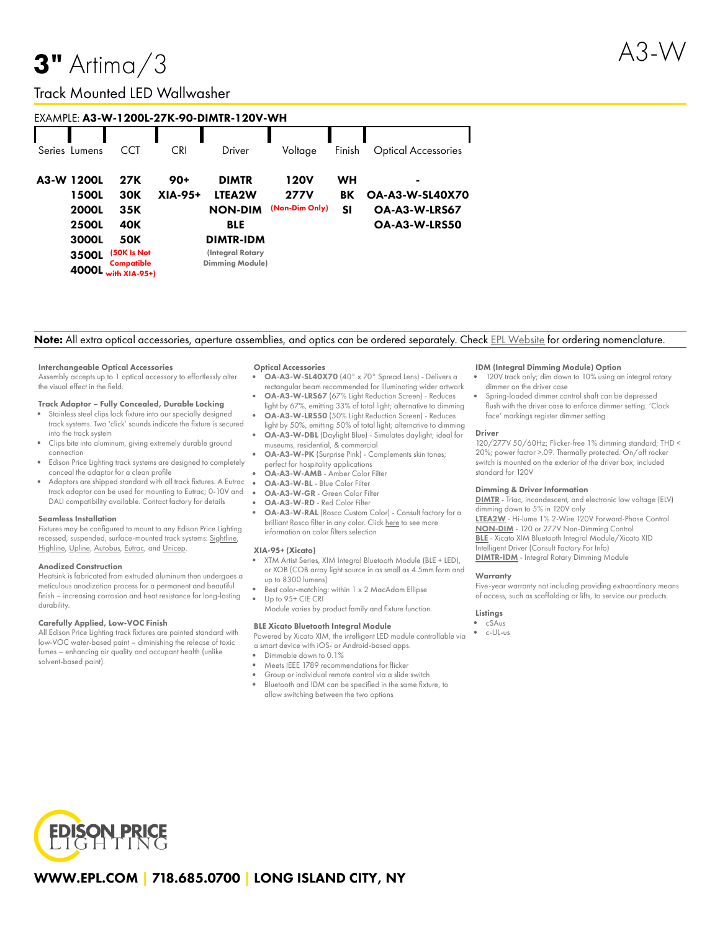# **3"** Artima $/3$

# Track Mounted LED Wallwasher

| EXAMPLE: A3-W-1200L-27K-90-DIMTR-120V-WH |                                                                                |                                                                                             |                  |                                                                                                                          |                                              |                |                                                               |  |  |
|------------------------------------------|--------------------------------------------------------------------------------|---------------------------------------------------------------------------------------------|------------------|--------------------------------------------------------------------------------------------------------------------------|----------------------------------------------|----------------|---------------------------------------------------------------|--|--|
|                                          | Series Lumens                                                                  | CCT                                                                                         | CRI              | Driver                                                                                                                   | Voltage                                      | Finish         | <b>Optical Accessories</b>                                    |  |  |
|                                          | A3-W 1200L<br>1500L<br><b>2000L</b><br><b>2500L</b><br>3000L<br>3500L<br>4000L | 27K<br><b>30K</b><br>35K<br>40K<br><b>50K</b><br>(50K Is Not<br>Compatible<br>with XIA-95+) | $90+$<br>XIA-95+ | <b>DIMTR</b><br>LTEA2W<br><b>NON-DIM</b><br><b>BLE</b><br><b>DIMTR-IDM</b><br>(Integral Rotary<br><b>Dimming Module)</b> | <b>120V</b><br><b>277V</b><br>(Non-Dim Only) | WН<br>BK<br>SI | ۰<br><b>OA-A3-W-SL40X70</b><br>OA-A3-W-LRS67<br>OA-A3-W-LRS50 |  |  |

## Note: All extra optical accessories, aperture assemblies, and optics can be ordered separately. Check EPL [Website](https://www.epl.com/) for ordering nomenclature.

#### Interchangeable Optical Accessories

Assembly accepts up to 1 optical accessory to effortlessly alter the visual effect in the field.

#### Track Adaptor – Fully Concealed, Durable Locking

- Stainless steel clips lock fixture into our specially designed track systems. Two 'click' sounds indicate the fixture is secured into the track system
- Clips bite into aluminum, giving extremely durable ground connection
- Edison Price Lighting track systems are designed to completely conceal the adaptor for a clean profile
- Adaptors are shipped standard with all track fixtures. A Eutrac track adaptor can be used for mounting to Eutrac; 0-10V and DALI compatibility available. Contact factory for details

#### Seamless Installation

Fixtures may be configured to mount to any Edison Price Lighting recessed, suspended, surface-mounted track systems: [Sightline,](https://epl.com/sightline/) [Highline](https://epl.com/highline/), [Upline](https://epl.com/upline/), [Autobus,](https://epl.com/autobus/) [Eutrac,](https://eutrac.de/product/2surface-track-bus/?lang=en) and [Unicep.](https://epl.com/unicep/)

#### Anodized Construction

Heatsink is fabricated from extruded aluminum then undergoes a meticulous anodization process for a permanent and beautiful finish – increasing corrosion and heat resistance for long-lasting durability.

#### Carefully Applied, Low-VOC Finish

All Edison Price Lighting track fixtures are painted standard with low-VOC water-based paint – diminishing the release of toxic fumes – enhancing air quality and occupant health (unlike solvent-based paint).

#### Optical Accessories

- OA-A3-W-SL40X70 (40° x 70° Spread Lens) Delivers a rectangular beam recommended for illuminating wider artwork
- OA-A3-W-LRS67 (67% Light Reduction Screen) Reduces light by 67%, emitting 33% of total light; alternative to dimming
- OA-A3-W-LRS50 (50% Light Reduction Screen) Reduces light by 50%, emitting 50% of total light; alternative to dimming
- OA-A3-W-DBL (Daylight Blue) Simulates daylight; ideal for museums, residential, & commercial
- OA-A3-W-PK (Surprise Pink) Complements skin tones; perfect for hospitality applications
- OA-A3-W-AMB Amber Color Filter
- OA-A3-W-BL Blue Color Filter
- OA-A3-W-GR Green Color Filter
- OA-A3-W-RD Red Color Filter
- OA-A3-W-RAL (Rosco Custom Color) Consult factory for a brilliant Rosco filter in any color. Click [here](https://us.rosco.com/en/products/catalog/roscolux) to see more information on color filters selection

#### XIA-95+ (Xicato)

- XTM Artist Series, XIM Integral Bluetooth Module (BLE + LED), or XOB (COB array light source in as small as 4.5mm form and up to 8300 lumens)
- Best color-matching: within 1 x 2 MacAdam Ellipse Up to 95+ CIE CRI
- Module varies by product family and fixture function.

### BLE Xicato Bluetooth Integral Module

Powered by Xicato XIM, the intelligent LED module controllable via a smart device with iOS- or Android-based apps.

- Dimmable down to 0.1%
- Meets IEEE 1789 recommendations for flicker
- Group or individual remote control via a slide switch Bluetooth and IDM can be specified in the same fixture, to allow switching between the two options

#### IDM (Integral Dimming Module) Option

- 120V track only; dim down to 10% using an integral rotary dimmer on the driver case
- Spring-loaded dimmer control shaft can be depressed flush with the driver case to enforce dimmer setting. 'Clock face' markings register dimmer setting

#### Driver

120/277V 50/60Hz; Flicker-free 1% dimming standard; THD < 20%; power factor >.09. Thermally protected. On/off rocker switch is mounted on the exterior of the driver box; included standard for 120V

#### Dimming & Driver Information

[DIMTR](http://epl.com/media/driver/dimtr.pdf) - Triac, incandescent, and electronic low voltage (ELV) dimming down to 5% in 120V only [LTEA2W](http://epl.com/media/driver/ltea2w.pdf) - Hi-lume 1% 2-Wire 120V Forward-Phase Control [NON-DIM](http://epl.com/media/driver/non-dim.pdf) - 120 or 277V Non-Dimming Control [BLE](http://epl.com/media/driver/ble.pdf) - Xicato XIM Bluetooth Integral Module/Xicato XID Intelligent Driver (Consult Factory For Info) [DIMTR-IDM](http://epl.com/media/driver/dimtr-idm.pdf) - Integral Rotary Dimming Module

#### **Warranty**

Five-year warranty not including providing extraordinary means of access, such as scaffolding or lifts, to service our products.

#### Listings

- cSAus
- c-UL-us